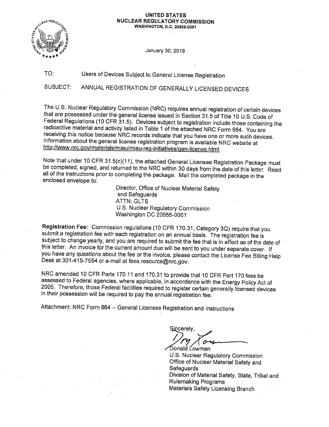### **UNITED STATES NUCLEAR REGULATORY COMMISSION WASHINGTON, D.C. 20555-0001**



January 30, 2019

TO: Users of Devices Subject to General License Registration

SUBJECT: ANNUAL REGISTRATION OF GENERALLY LICENSED DEVICES

The U.S. Nuclear Regulatory Commission (NRC) requires annual registration of certain devices that are possessed under the general license issued in Section 31.5 of Title 10 U.S. Code of Federal Regulations (10 CFR 31.5). Devices subject to registration include those containing the radioactive material and activity listed in Table 1 of the attached NRC Form 664. You are receiving this notice because NRC records indicate that you have one or more such devices. Information about the general license registration program is available NRC website at http://www.nrc.gov/materials/miau/miau-reg-initiatives/gen-license.html

Note that under 10 CFR 31.5(c)(11 ), the attached General Licensee Registration Package must be completed, signed, and returned to the NRC within 30 days from the date of this letter. Read all of the instructions prior to completing the package. Mail the completed package in the enclosed envelope to:

> Director, Office of Nuclear Material Safety and Safeguards **ATTN: GLTS** U.S. Nuclear Regulatory Commission Washington DC 20555-0001

**Registration Fee:** Commission regulations (10 CFR 170.31, Category 3Q) require that you submit a registration fee with each registration on an annual basis. The registration fee is subject to change yearly, and you are required to submit the fee that is in effect as of the date of this letter. An invoice for the current amount due will be sent to you under separate cover. If you have any questions about the fee or the invoice, please contact the License Fee Billing Help Desk at 301-415-7554 or e-mail at fees.resource@nrc.gov.

NRC amended 10 CFR Parts 170.11 and 170.31 to provide that 10 CFR Part 170 fees be assessed to Federal agencies, where applicable, in accordance with the Energy Policy Act of 2005. Therefore, those Federal facilities required to register certain generally licensed devices in their possession will be required to pay the annual registration fee.

Attachment: NRC Form 664 -- General Licensee Registration and Instructions

Sincerelv. Donald Lowman

U.S. Nuclear Regulatory Commisslon Office of Nuclear Material Safety and· **Safeguards** Division of Material Safety, State, Tribal and Rulemaking Programs Materials Safety Licensing Branch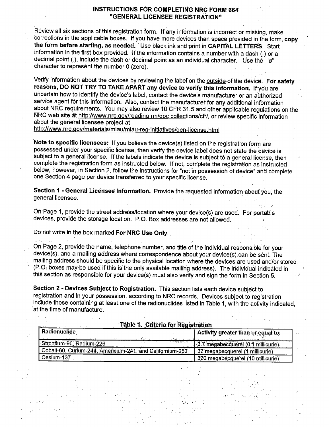## **INSTRUCTIONS FOR COMPLETING NRC FORM 664 "GENERAL LICENSEE REGISTRATION"**

Review all six sections of this registration form. If any information is incorrect or missing, make corrections in the applicable boxes. If you have more devices than space provided in the form, **copy**  · **the form before starting, as needed.** · Use black ink and print in **CAPITAL LETTERS.** Start information in the first box provided. If the information contains a number with a dash (-) or a decimal point (.), include the dash or decimal point as an individual character. Use the "ø" character to represent the number O (zero).

Verify information about the devices by reviewing the label' on the outside· of the device. **f:o·r safety reasons, DO NOT TRY ro TAKE APART any device to verify this information.** lf'you are uncertain how to identify the device's label, contact the device's manufacturer or an allthorized service agent for this information. Also, contact the manufacturer for any additional information about NRC requirements. You may also review 10 CFR 31.5 and other applicable regulations on the NRC web site at http://www.nrc.gov/reading rm/doc collections/cfr/, or review specific information about the general licensee project at

http://www.nrc.gov/materials/miau/miau-reg-initiatives/gen-license.html.

**'Note to specific licensees:** If you believe the device(s) listed on the registration form ate possessed under your specific license, then verify the device label does not state the device is subject to a general license. If the labels indicate the device is subject to a general license, then complete the registration form as instructed below. If not, complete the registration as instructed below, however, in Section 2, follow the instructions for "not in possession of device" and complete One Section 4 page per device transferred to your specific license.

**Section 1 - General Licensee Information.** Provide the requested information about you, the general licensee.

On Page 1, provide the street address/location where your device(s) are used. For portable devices, provide the storage location. P.O. Box addresses are not allowed.

Do· not write in the box marked **For NRC Use Only .** .

.. .

On Page 2, provide the name, telephone number, and title of the individual responsible: for your device(s), and a mailing address where correspondence about your device(s) .can be sent. The mailing address should be specific to the physical location where the devices are. used ahd/or stored. (P.O. boxes may be used if this is the only available mailing address). The individual indicated in this section as responsible for your device(s) must also verify and sign the form in Section 5.

**Section 2** - **Devices Subject to Registration.** This section lists each devlce subject to . registration and in your possession, according to NRC records. Devices subject to registration incl'ude those containing at least one of the radionuclides listed in Table 1, With the activity indicated, at the time of manufacture.

| rable 1. Criteria for Registration                        |                                    |  |  |  |  |  |  |
|-----------------------------------------------------------|------------------------------------|--|--|--|--|--|--|
| Radionuclide                                              | Activity greater than or equal to: |  |  |  |  |  |  |
| Strontium-90, Radium-226                                  | 3.7 megabecquerel (0.1 millicurie) |  |  |  |  |  |  |
| Cobalt-60, Curium-244, Americium-241, and Californium-252 | 37 megabecquerel (1 millicurie)    |  |  |  |  |  |  |
| Cesium-137                                                | 370 mégabecquerel (10 millicurie)  |  |  |  |  |  |  |

' -I *,:* 

mantary to the second contract the company of the system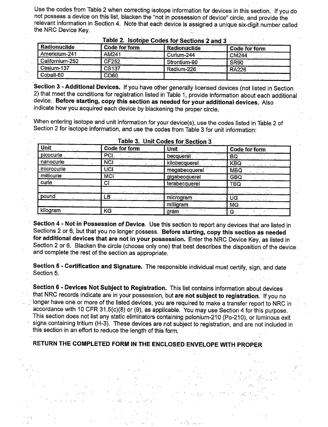Use the codes from Table 2 when correcting isotope information for devices in this section. If you do not possess a device on this list, blacken the "not in possession of device" circle, and provide the relevant information in Section 4. Note that each device is assigned a unique six-digit number called the NRC Device Kev.

|                     |               | $\frac{1}{2}$ and $\frac{1}{2}$ are the source for observing $\boldsymbol{\Sigma}$ and $\boldsymbol{\nu}$ |                      |
|---------------------|---------------|-----------------------------------------------------------------------------------------------------------|----------------------|
| <b>Radionuclide</b> | Code for form | Radionuclide                                                                                              | <b>Code for form</b> |
| Americium-241       | AM241         | Curium-244                                                                                                | <b>CM244</b>         |
| Californium-252     | CF252         | Strontium-90                                                                                              | SR90                 |
| Cesium-137          | CS137         | Radium-226                                                                                                | <b>RA226</b>         |
| Cobalt-60           | <b>CO60</b>   |                                                                                                           |                      |

## Table 2. Isotone Codes for Sections 2 and 3

Section 3 - Additional Devices. If you have other generally licensed devices (not listed in Section 2) that meet the conditions for registration listed in Table 1, provide information about each additional device. Before starting, copy this section as needed for your additional devices. Also indicate how you acquired each device by blackening the proper circle.

When entering isotope and unit information for your device(s), use the codes listed in Table 2 of Section 2 for isotope information, and use the codes from Table 3 for unit information:

| Lable of ATIH CONCEIN OCCUPIL O |                             |                            |                         |  |  |  |  |  |
|---------------------------------|-----------------------------|----------------------------|-------------------------|--|--|--|--|--|
| Unit                            | Code for form               | <b>Unit</b>                | Code for form           |  |  |  |  |  |
| picocurie                       | PCI.<br>4.77344             | becquerel                  | <b>BQ</b>               |  |  |  |  |  |
| nanocurie                       | <b>NCI</b>                  | kilobecquerel              | KBQ                     |  |  |  |  |  |
| microcurie                      | UCI                         | megabecquerel              | <b>MBQ</b>              |  |  |  |  |  |
| millicurie                      | <b>MCI</b>                  | gigabecquerel              | <b>GBQ</b>              |  |  |  |  |  |
| .curie                          | C                           | terabecquerel              | TBQ                     |  |  |  |  |  |
|                                 | it satire                   |                            |                         |  |  |  |  |  |
| pound                           | LВ<br>الأنبي والكاراة أأتار | microgram<br>communication | UG.                     |  |  |  |  |  |
|                                 |                             | milligram                  | <b>MG</b>               |  |  |  |  |  |
| kilogram                        | KG.                         | gräm                       | $^{\circ}$ G $_{\odot}$ |  |  |  |  |  |

## Table 3 Hait Codes for Section 3

Section 4 - Not in Possession of Device. Use this section to report any devices that are listed in Sections 2 or 6, but that you no longer possess. Before starting, copy this section as needed for additional devices that are not in your possession. Enter the NRC Device Key, as listed in Section 2 or 6. Blacken the circle (choose only one) that best describes the disposition of the device. and complete the rest of the section as appropriate.

Section 5 - Certification and Signature. The responsible individual must certify, sign, and date Section 5.

Section 6 - Devices Not Subject to Registration. This list contains information about devices that NRC records indicate are in your possession, but are not subject to registration. If you no longer have one or more of the listed devices, you are required to make a transfer report to NRC in accordance with 10 CFR 31.5(c)(8) or (9), as applicable. You may use Section 4 for this purpose. This section does not list any static eliminators containing polonium-210 (Po-210), or luminous exit signs containing tritium (H-3). These devices are not subject to registration, and are not included in this section in an effort to reduce the length of this form.

## RETURN THE COMPLETED FORM IN THE ENCLOSED ENVELOPE WITH PROPER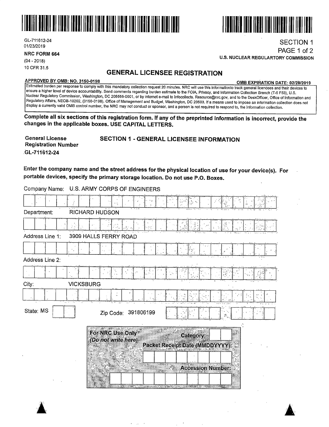

GL-711612-24 01/23/2019

**NRC FORM 664** 

(04 - 2018) 10 CFR 31.5

## **GENERAL LICENSEE REGISTRATION**

**APPROVED BY 0MB: NO. 3150-0198 0MB EXPIRATION DATE: 02/28/2019** 

SECTION 1 PAGE 1 of 2

Estimated burden per response to comply with this mandatory collection request 20 minutes. NRC will use this informationto track general licencees and their devices to ensure a higher level of device accountability. Send comments regarding burden estimate to the FOIA, Privacy, and Information Collection Branch (T-5 F53), U.S. Nuclear Regulatory Commission, Washington, DC 205555-0001, or by internet e-mail to lnfocollects. Resource@nrc.gov, and to the DeskOfficer, Office of Information and Regulatory Affairs, NEOB-10202, {3150-0198), Office of Management and Budget, Washington, DC 20503. If a means used to impose an information collection does not display a currently valid 0MB control number, the NRC may not conduct or sponsor, and a person is not required to respond to, the information collection.

**Complete all six sections of this registration form. If any of the preprinted information is incorrect, provide the changes in the applicable boxes. USE CAPITAL LETTERS.** 

| <b>General License</b>     | <b>SECTION 1 - GENERAL LICENSEE INFORMATION</b> |
|----------------------------|-------------------------------------------------|
| <b>Registration Number</b> |                                                 |
| GL-711612-24               |                                                 |

**Enter the company name and the street address for the physical location of use for your device(s). For portable devices, specify the primary storage location. Do not use P.O. Boxes.** 

|                 |                  |                                          |  | $\sim 3^{10}$     |                                                     |    |  |
|-----------------|------------------|------------------------------------------|--|-------------------|-----------------------------------------------------|----|--|
| Department:     |                  | <b>RICHARD HUDSON</b>                    |  |                   |                                                     |    |  |
|                 |                  |                                          |  |                   |                                                     |    |  |
| Address Line 1: |                  | 3909 HALLS FERRY ROAD                    |  |                   |                                                     |    |  |
|                 |                  |                                          |  |                   |                                                     |    |  |
| Address Line 2: |                  |                                          |  |                   |                                                     |    |  |
|                 |                  |                                          |  |                   |                                                     |    |  |
| City:           | <b>VICKSBURG</b> |                                          |  |                   |                                                     |    |  |
|                 |                  |                                          |  |                   |                                                     |    |  |
| State: MS       |                  | Zip Code: 391806199                      |  |                   |                                                     | 53 |  |
|                 |                  | For NRC Use Only"<br>(Do not write here) |  |                   | Category:<br><b>Packet Receipt Date (MMDDYYYY):</b> |    |  |
|                 |                  |                                          |  | T.                | <b>Accession Number:</b>                            |    |  |
|                 |                  |                                          |  | <b>STATISTICS</b> |                                                     |    |  |

 $\sim$ 

Company Name: U.S. ARMY CORPS OF ENGINEERS





**U.S. NUCLEAR REGULARTORY COMMISSION**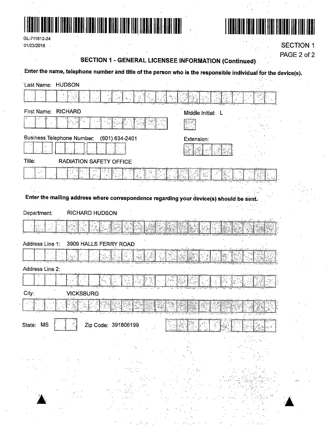



GL-711612-24  $101/23/2019$ 

**SECTION 1** PAGE 2 of 2

# **SECTION 1 - GENERAL LICENSEE INFORMATION (Continued)**

Enter the name, telephone number and title of the person who is the responsible individual for the device(s).

| Last Name: HUDSON                                                                       |                   |
|-----------------------------------------------------------------------------------------|-------------------|
|                                                                                         |                   |
| First Name: RICHARD                                                                     | Middle Initial: L |
| gels                                                                                    |                   |
| <b>Business Telephone Number:</b><br>(601) 634-2401                                     | Extension:        |
|                                                                                         |                   |
| Title:<br><b>RADIATION SAFETY OFFICE</b>                                                |                   |
|                                                                                         |                   |
|                                                                                         |                   |
| Enter the mailing address where correspondence regarding your device(s) should be sent. |                   |
| <b>RICHARD HUDSON</b><br>Department:                                                    |                   |
|                                                                                         |                   |
| Address Line 1:<br>3909 HALLS FERRY ROAD                                                |                   |
|                                                                                         |                   |
| Address Line 2:                                                                         |                   |
| $\frac{\partial \phi^2_{\alpha}}{\partial t}$                                           |                   |
| City:<br><b>VICKSBURG</b>                                                               |                   |
|                                                                                         |                   |
| State: MS<br>Zip Code: 391806199                                                        |                   |
|                                                                                         |                   |
|                                                                                         |                   |
|                                                                                         |                   |
|                                                                                         |                   |
|                                                                                         |                   |
|                                                                                         |                   |
|                                                                                         |                   |
|                                                                                         |                   |
|                                                                                         |                   |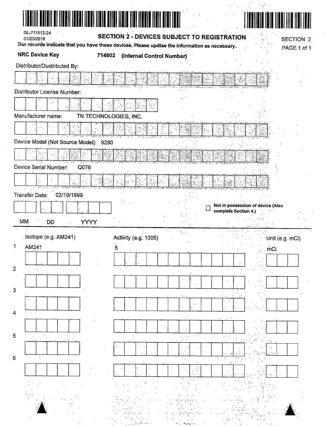| GL-711612-24                                                                                                | II II BALI IDADI IIBAI IIBIN DIIDI IIDIN IIBI IIDDIN III |                                   |                                                           |             |
|-------------------------------------------------------------------------------------------------------------|----------------------------------------------------------|-----------------------------------|-----------------------------------------------------------|-------------|
| 01/23/2019<br>Our records indicate that you have these devices. Please updtae the information as necessary. | SECTION 2 - DEVICES SUBJECT TO REGISTRATION              |                                   |                                                           | SECTION 2   |
| <b>NRC Device Key</b>                                                                                       | 714802<br>(Internal Control Number)                      |                                   |                                                           | PAGE 1 of 1 |
| Distributor/Dustributed By:                                                                                 |                                                          |                                   |                                                           |             |
|                                                                                                             |                                                          |                                   |                                                           |             |
| Distributor License Number:                                                                                 |                                                          |                                   |                                                           |             |
|                                                                                                             |                                                          |                                   |                                                           |             |
| Manufacturer name:                                                                                          | TN TECHNOLOGIES, INC.                                    |                                   |                                                           |             |
|                                                                                                             |                                                          |                                   |                                                           |             |
| Device Model (Not Source Model): 9290                                                                       |                                                          |                                   |                                                           |             |
|                                                                                                             |                                                          |                                   |                                                           |             |
|                                                                                                             |                                                          |                                   |                                                           |             |
| Device Serial Number:<br>Q076                                                                               |                                                          |                                   |                                                           |             |
|                                                                                                             |                                                          |                                   |                                                           |             |
| <b>Transfer Date:</b><br>02/10/1999                                                                         |                                                          |                                   |                                                           |             |
|                                                                                                             |                                                          | L                                 | Not in possession of device (Also<br>complete Section 4.) |             |
| MM<br><b>DD</b>                                                                                             | <b>YYYY</b>                                              |                                   |                                                           |             |
| Isotope (e.g. AM241)                                                                                        |                                                          | $\mathcal{R}_{\mathbf{r}}(\cdot)$ |                                                           |             |
| AM241                                                                                                       | Activity (e.g. 1005)                                     |                                   |                                                           |             |
|                                                                                                             |                                                          |                                   | Unit (e.g. mCi)                                           |             |
|                                                                                                             | 5                                                        |                                   | mCi                                                       |             |
|                                                                                                             |                                                          |                                   |                                                           |             |
|                                                                                                             |                                                          | ţ.                                |                                                           |             |
|                                                                                                             |                                                          |                                   |                                                           |             |
|                                                                                                             |                                                          | ٠.,                               |                                                           |             |
|                                                                                                             |                                                          |                                   |                                                           |             |
|                                                                                                             |                                                          |                                   |                                                           |             |
|                                                                                                             |                                                          |                                   |                                                           |             |
|                                                                                                             |                                                          |                                   |                                                           |             |
|                                                                                                             |                                                          |                                   | $\cdot$ <sub>1</sub>                                      |             |
|                                                                                                             |                                                          |                                   |                                                           |             |
|                                                                                                             |                                                          |                                   |                                                           |             |
| $\overline{2}$<br>$\mathbf{3}$<br>4<br>5<br>6                                                               |                                                          |                                   |                                                           |             |

 $\sim$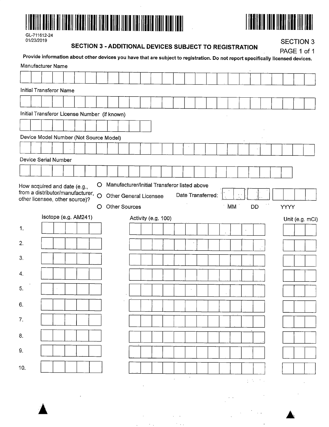



| GL-711612-24 |
|--------------|
| 01/23/2019   |

## **SECTION 3 - ADDITIONAL DEVICES SUBJECT TO REGISTRATION**

 $\frac{1}{2}$ 

**SECTION 3** 

|     | Manufacturer Name                                                                                    |  |  |         |  | Provide information about other devices you have that are subject to registration. Do not report specifically licensed devices. |                     |  |           |                   |        |                 |                            |  |             | PAGE 1 of 1     |
|-----|------------------------------------------------------------------------------------------------------|--|--|---------|--|---------------------------------------------------------------------------------------------------------------------------------|---------------------|--|-----------|-------------------|--------|-----------------|----------------------------|--|-------------|-----------------|
|     |                                                                                                      |  |  |         |  |                                                                                                                                 |                     |  |           |                   |        |                 |                            |  |             |                 |
|     | Initial Transferor Name                                                                              |  |  |         |  |                                                                                                                                 |                     |  |           |                   |        |                 |                            |  |             |                 |
|     |                                                                                                      |  |  |         |  |                                                                                                                                 |                     |  |           |                   |        |                 |                            |  |             |                 |
|     | Initial Transferor License Number (if known)                                                         |  |  |         |  |                                                                                                                                 |                     |  |           |                   |        |                 |                            |  |             |                 |
|     |                                                                                                      |  |  |         |  |                                                                                                                                 |                     |  |           |                   |        |                 |                            |  |             |                 |
|     | Device Model Number (Not Source Model)                                                               |  |  |         |  |                                                                                                                                 |                     |  |           |                   |        |                 |                            |  |             |                 |
|     |                                                                                                      |  |  |         |  |                                                                                                                                 |                     |  |           |                   |        |                 |                            |  |             |                 |
|     | Device Serial Number                                                                                 |  |  |         |  |                                                                                                                                 |                     |  |           |                   |        |                 |                            |  |             |                 |
|     |                                                                                                      |  |  |         |  |                                                                                                                                 |                     |  |           |                   |        |                 |                            |  |             |                 |
|     | How acquired and date (e.g.,<br>from a distributor/manufacturer, O<br>other licensee, other source)? |  |  | $\circ$ |  | Manufacturer/Initial Transferor listed above<br><b>Other General Licensee</b>                                                   |                     |  |           | Date Transferred: |        |                 |                            |  |             |                 |
|     |                                                                                                      |  |  | O       |  | <b>Other Sources</b>                                                                                                            |                     |  |           |                   |        | MM <sup>-</sup> | <b>DD</b>                  |  | <b>YYYY</b> |                 |
|     | Isotope (e.g. AM241)                                                                                 |  |  |         |  |                                                                                                                                 | Activity (e.g. 100) |  |           |                   |        |                 |                            |  |             | Unit (e.g. mCi) |
| 1.  |                                                                                                      |  |  |         |  |                                                                                                                                 |                     |  |           |                   |        |                 |                            |  |             |                 |
| 2.  |                                                                                                      |  |  |         |  |                                                                                                                                 |                     |  |           |                   |        |                 |                            |  |             |                 |
| 3.  |                                                                                                      |  |  |         |  |                                                                                                                                 |                     |  |           |                   |        |                 |                            |  |             |                 |
| 4.  |                                                                                                      |  |  |         |  |                                                                                                                                 |                     |  |           |                   |        |                 |                            |  |             |                 |
| 5.  |                                                                                                      |  |  |         |  |                                                                                                                                 |                     |  |           |                   | $\sim$ |                 |                            |  |             |                 |
| 6.  |                                                                                                      |  |  |         |  |                                                                                                                                 |                     |  |           |                   |        |                 |                            |  |             |                 |
| 7.  |                                                                                                      |  |  |         |  |                                                                                                                                 |                     |  |           |                   |        |                 |                            |  |             |                 |
| 8.  |                                                                                                      |  |  |         |  |                                                                                                                                 |                     |  |           |                   |        |                 |                            |  |             |                 |
| 9.  |                                                                                                      |  |  |         |  |                                                                                                                                 |                     |  |           |                   |        |                 |                            |  |             |                 |
| 10. |                                                                                                      |  |  |         |  |                                                                                                                                 |                     |  |           |                   |        |                 |                            |  |             |                 |
|     |                                                                                                      |  |  |         |  |                                                                                                                                 |                     |  | $\bullet$ |                   |        |                 | $\mathcal{L}^{\text{max}}$ |  |             |                 |

 $\mathcal{L}^{\text{max}}_{\text{max}}$  and  $\mathcal{L}^{\text{max}}_{\text{max}}$  $\label{eq:2.1} \frac{1}{\sqrt{2}}\int_{\mathbb{R}^3}\frac{1}{\sqrt{2}}\left(\frac{1}{\sqrt{2}}\int_{\mathbb{R}^3}\frac{1}{\sqrt{2}}\left(\frac{1}{\sqrt{2}}\int_{\mathbb{R}^3}\frac{1}{\sqrt{2}}\right)\frac{1}{\sqrt{2}}\right)\frac{1}{\sqrt{2}}\frac{1}{\sqrt{2}}\frac{1}{\sqrt{2}}\int_{\mathbb{R}^3}\frac{1}{\sqrt{2}}\frac{1}{\sqrt{2}}\frac{1}{\sqrt{2}}\frac{1}{\sqrt{2}}\frac{1}{\sqrt{2}}\frac{1}{\sqrt{2$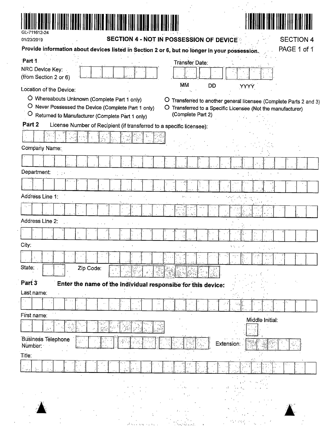

# 

| 01/23/2019                    |                                                                                                 | SECTION 4 - NOT IN POSSESSION OF DEVICE                                                       |                                                                                                                                                      |                 | <b>SECTION 4</b> |
|-------------------------------|-------------------------------------------------------------------------------------------------|-----------------------------------------------------------------------------------------------|------------------------------------------------------------------------------------------------------------------------------------------------------|-----------------|------------------|
|                               |                                                                                                 | Provide information about devices listed in Section 2 or 6, but no longer in your possession. |                                                                                                                                                      |                 | PAGE 1 of 1      |
| Part 1.<br>NRC Device Key:    |                                                                                                 |                                                                                               | Transfer Date:                                                                                                                                       |                 |                  |
| (from Section 2 or 6)         |                                                                                                 |                                                                                               | МŃ<br>DĎ                                                                                                                                             |                 |                  |
| Location of the Device:       |                                                                                                 |                                                                                               |                                                                                                                                                      | <b>YYYY</b>     |                  |
| $\circ$                       | O Whereabouts Unknown (Complete Part 1 only)<br>Returned to Manufacturer (Complete Part 1 only) | O<br>O Never Possessed the Device (Complete Part 1 only)                                      | Transferred to another general licensee (Complete Parts 2 and 3)<br>O Transferred to a Specific Licensee (Not the manufacturer)<br>(Complete Part 2) |                 |                  |
| Part 2                        |                                                                                                 | License Number of Recipient (if transferred to a specific licensee):                          |                                                                                                                                                      |                 |                  |
| Company Name:                 |                                                                                                 |                                                                                               |                                                                                                                                                      |                 |                  |
|                               |                                                                                                 |                                                                                               |                                                                                                                                                      |                 |                  |
|                               |                                                                                                 |                                                                                               |                                                                                                                                                      |                 |                  |
| Department:                   |                                                                                                 |                                                                                               |                                                                                                                                                      |                 |                  |
|                               |                                                                                                 |                                                                                               |                                                                                                                                                      |                 |                  |
| Address Line 1:               |                                                                                                 |                                                                                               |                                                                                                                                                      |                 |                  |
| 42 m                          |                                                                                                 |                                                                                               |                                                                                                                                                      |                 |                  |
| Address Line 2:               |                                                                                                 |                                                                                               |                                                                                                                                                      |                 |                  |
|                               | J.                                                                                              |                                                                                               |                                                                                                                                                      |                 |                  |
| City:                         |                                                                                                 |                                                                                               |                                                                                                                                                      | Vitin 1         |                  |
|                               |                                                                                                 |                                                                                               |                                                                                                                                                      |                 |                  |
| State:                        | Zip Code:                                                                                       | <u> 11. a - 12. 36. a</u>                                                                     | 5. <u>March 19 se - Bulles of BACA</u> 1                                                                                                             |                 |                  |
| Part 3                        |                                                                                                 | Enter the name of the individual responsibe for this device:                                  |                                                                                                                                                      |                 |                  |
| Last name:                    |                                                                                                 |                                                                                               |                                                                                                                                                      |                 |                  |
|                               |                                                                                                 |                                                                                               |                                                                                                                                                      |                 |                  |
| First name:                   |                                                                                                 |                                                                                               |                                                                                                                                                      | Middle Initial: |                  |
|                               |                                                                                                 |                                                                                               |                                                                                                                                                      |                 |                  |
| Business Telephone<br>Number. |                                                                                                 |                                                                                               |                                                                                                                                                      | Extension:      |                  |
| Title:                        |                                                                                                 |                                                                                               |                                                                                                                                                      |                 |                  |
|                               |                                                                                                 |                                                                                               |                                                                                                                                                      |                 |                  |
|                               |                                                                                                 |                                                                                               |                                                                                                                                                      |                 |                  |
|                               |                                                                                                 |                                                                                               |                                                                                                                                                      |                 |                  |
|                               |                                                                                                 |                                                                                               |                                                                                                                                                      |                 | -25 °            |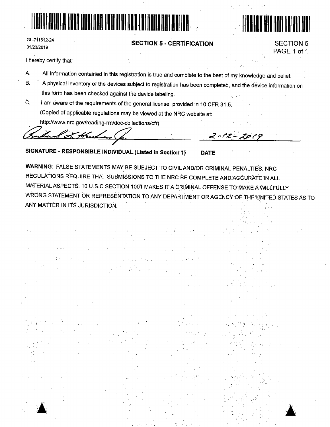



**SECTION 5** 

PAGE 1 of 1

**SECTION 5 - CERTIFICATION** 

I hereby certify that:

GL-711612-24

01/23/2019

- All information contained in this registration is true and complete to the best of my knowledge and belief. À.
- A physical inventory of the devices subject to registration has been completed, and the device information on  $B.$ this form has been checked against the device labeling.
- Ċ. I am aware of the requirements of the general license, provided in 10 CFR 31.5. (Copied of applicable regulations may be viewed at the NRC website at:

http://www.nrc.gov/reading-rm/doc-collections/cfr)

SIGNATURE - RESPONSIBLE INDIVIDUAL (Listed in Section 1)

WARNING: FALSE STATEMENTS MAY BE SUBJECT TO CIVIL AND/OR CRIMINAL PENALTIES. NRC REGULATIONS REQUIRE THAT SUBMISSIONS TO THE NRC BE COMPLETE AND ACCURATE IN ALL MATERIAL ASPECTS. 10 U.S.C SECTION 1001 MAKES IT A CRIMINAL OFFENSE TO MAKE A WILLFULLY WRONG STATEMENT OR REPRESENTATION TO ANY DEPARTMENT OR AGENCY OF THE UNITED STATES AS TO ANY MATTER IN ITS JURISDICTION.

 $-72 -$ 

**DATE** 

20 (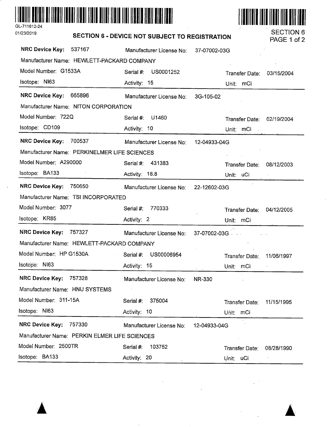

 $\overline{a}$ 



|                                               | SECTION 6 - DEVICE NOT SUBJECT TO REGISTRATION |                           | PAGE 1 of 2 |
|-----------------------------------------------|------------------------------------------------|---------------------------|-------------|
| <b>NRC Device Key:</b><br>537167              | Manufacturer License No:                       | 37-07002-03G              |             |
| Manufacturer Name: HEWLETT-PACKARD COMPANY    |                                                |                           |             |
| Model Number: G1533A                          | US0001252<br>Serial #:                         | Transfer Date:            | 03/15/2004  |
| Isotope: NI63                                 | Activity: 15                                   | Unit:<br>mCi              |             |
| <b>NRC Device Key:</b><br>665896              | Manufacturer License No:                       | 3G-105-02                 |             |
| Manufacturer Name: NITON CORPORATION          |                                                |                           |             |
| Model Number: 722Q                            | U1460<br>Serial #:                             | Transfer Date:            | 02/19/2004  |
| Isotope: CD109                                | Activity: 10                                   | mCi<br>Unit:              |             |
| <b>NRC Device Key:</b><br>700537              | Manufacturer License No:                       | 12-04933-04G              |             |
| Manufacturer Name: PERKINELMER LIFE SCIENCES  |                                                |                           |             |
| Model Number: A290000                         | 431383<br>Serial #:                            | Transfer Date:            | 08/12/2003  |
| Isotope: BA133                                | Activity: 18.8                                 | Unit: uCi                 |             |
| <b>NRC Device Key:</b><br>750650              | Manufacturer License No:                       | 22-12602-03G              |             |
| Manufacturer Name: TSI INCORPORATED           |                                                |                           |             |
| Model Number: 3077                            | 770333<br>Serial #:                            | Transfer Date:            | 04/12/2005  |
| Isotope: KR85                                 | Activity: 2                                    | Unit: mCi                 |             |
| <b>NRC Device Key:</b><br>757327              | Manufacturer License No:                       | 37-07002-03G              |             |
| Manufacturer Name: HEWLETT-PACKARD COMPANY    |                                                |                           |             |
| Model Number: HP G1530A                       | US00006954<br>Serial #:                        | Transfer Date:            | 11/06/1997  |
| Isotope: NI63                                 | Activity: 15                                   | Unit: mCi                 |             |
| NRC Device Key: 757328                        | Manufacturer License No:                       | <b>NR-330</b>             |             |
| Manufacturer Name: HNU SYSTEMS                |                                                |                           |             |
| Model Number: 311-15A                         | 375004<br>Serial #:                            | Tränsfer Date:            | 11/15/1995  |
| Isotope: NI63                                 | Activity: 10                                   | Unit: mCi                 |             |
| <b>NRC Device Key:</b><br>757330              | Manufacturer License No:                       | 12-04933-04G              |             |
| Manufacturer Name: PERKIN ELMER LIFE SCIENCES |                                                |                           |             |
| Model Number: 2500TR                          | Serial #:<br>103752                            | Transfer Date: 08/28/1990 |             |
| lsotope: BA133                                | Activity: 20                                   | Unit: uCi                 | $\epsilon$  |

 $\bar{z}$ 

ŀ,

01/23/2019 **SECTION 6** - **DEVICE NOT SUBJECT TO REGISTRATION** SECTION 6